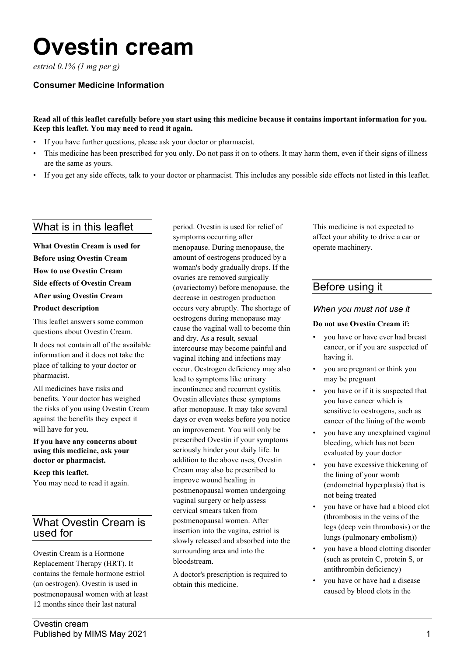# **Ovestin cream**

*estriol 0.1% (1 mg per g)*

#### **Consumer Medicine Information**

#### **Read all of this leaflet carefully before you start using this medicine because it contains important information for you. Keep this leaflet. You may need to read it again.**

- If you have further questions, please ask your doctor or pharmacist.
- This medicine has been prescribed for you only. Do not pass it on to others. It may harm them, even if their signs of illness are the same as yours.
- If you get any side effects, talk to your doctor or pharmacist. This includes any possible side effects not listed in this leaflet.

# What is in this leaflet

**What Ovestin Cream is used for Before using Ovestin Cream How to use Ovestin Cream Side effects of Ovestin Cream After using Ovestin Cream Product description**

This leaflet answers some common questions about Ovestin Cream.

It does not contain all of the available information and it does not take the place of talking to your doctor or pharmacist.

All medicines have risks and benefits. Your doctor has weighed the risks of you using Ovestin Cream against the benefits they expect it will have for you.

#### **If you have any concerns about using this medicine, ask your doctor or pharmacist.**

**Keep this leaflet.**

You may need to read it again.

# What Ovestin Cream is used for

Ovestin Cream is a Hormone Replacement Therapy (HRT). It contains the female hormone estriol (an oestrogen). Ovestin is used in postmenopausal women with at least 12 months since their last natural

period. Ovestin is used for relief of symptoms occurring after menopause. During menopause, the amount of oestrogens produced by a woman's body gradually drops. If the ovaries are removed surgically (ovariectomy) before menopause, the decrease in oestrogen production occurs very abruptly. The shortage of oestrogens during menopause may cause the vaginal wall to become thin and dry. As a result, sexual intercourse may become painful and vaginal itching and infections may occur. Oestrogen deficiency may also lead to symptoms like urinary incontinence and recurrent cystitis. Ovestin alleviates these symptoms after menopause. It may take several days or even weeks before you notice an improvement. You will only be prescribed Ovestin if your symptoms seriously hinder your daily life. In addition to the above uses, Ovestin Cream may also be prescribed to improve wound healing in postmenopausal women undergoing vaginal surgery or help assess cervical smears taken from postmenopausal women. After insertion into the vagina, estriol is slowly released and absorbed into the surrounding area and into the bloodstream.

A doctor's prescription is required to obtain this medicine.

This medicine is not expected to affect your ability to drive a car or operate machinery.

## Before using it

#### *When you must not use it*

#### **Do not use Ovestin Cream if:**

- you have or have ever had breast cancer, or if you are suspected of having it.
- you are pregnant or think you may be pregnant
- you have or if it is suspected that you have cancer which is sensitive to oestrogens, such as cancer of the lining of the womb
- you have any unexplained vaginal bleeding, which has not been evaluated by your doctor
- you have excessive thickening of the lining of your womb (endometrial hyperplasia) that is not being treated
- you have or have had a blood clot (thrombosis in the veins of the legs (deep vein thrombosis) or the lungs (pulmonary embolism))
- you have a blood clotting disorder (such as protein C, protein S, or antithrombin deficiency)
- you have or have had a disease caused by blood clots in the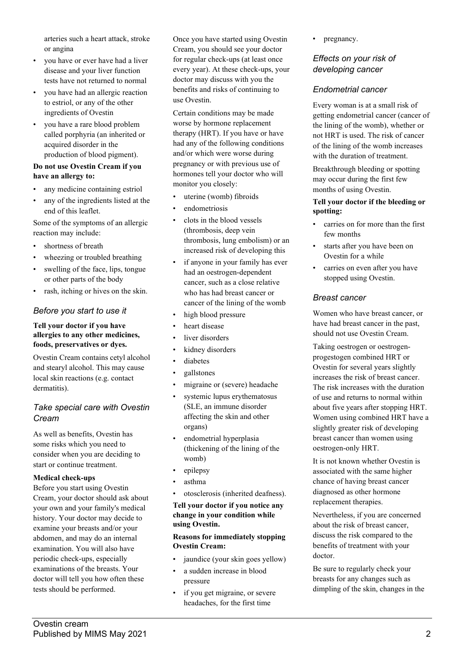arteries such a heart attack, stroke or angina

- you have or ever have had a liver disease and your liver function tests have not returned to normal
- you have had an allergic reaction to estriol, or any of the other ingredients of Ovestin
- you have a rare blood problem called porphyria (an inherited or acquired disorder in the production of blood pigment).

#### **Do not use Ovestin Cream if you have an allergy to:**

- any medicine containing estriol
- any of the ingredients listed at the end of this leaflet.

Some of the symptoms of an allergic reaction may include:

- shortness of breath
- wheezing or troubled breathing
- swelling of the face, lips, tongue or other parts of the body
- rash, itching or hives on the skin.

## *Before you start to use it*

#### **Tell your doctor if you have allergies to any other medicines, foods, preservatives or dyes.**

Ovestin Cream contains cetyl alcohol and stearyl alcohol. This may cause local skin reactions (e.g. contact dermatitis).

## *Take special care with Ovestin Cream*

As well as benefits, Ovestin has some risks which you need to consider when you are deciding to start or continue treatment.

#### **Medical check-ups**

Before you start using Ovestin Cream, your doctor should ask about your own and your family's medical history. Your doctor may decide to examine your breasts and/or your abdomen, and may do an internal examination. You will also have periodic check-ups, especially examinations of the breasts. Your doctor will tell you how often these tests should be performed.

Once you have started using Ovestin Cream, you should see your doctor for regular check-ups (at least once every year). At these check-ups, your doctor may discuss with you the benefits and risks of continuing to use Ovestin.

Certain conditions may be made worse by hormone replacement therapy (HRT). If you have or have had any of the following conditions and/or which were worse during pregnancy or with previous use of hormones tell your doctor who will monitor you closely:

- uterine (womb) fibroids
- endometriosis
- clots in the blood vessels (thrombosis, deep vein thrombosis, lung embolism) or an increased risk of developing this
- if anyone in your family has ever had an oestrogen-dependent cancer, such as a close relative who has had breast cancer or cancer of the lining of the womb
- high blood pressure
- heart disease
- liver disorders
- kidney disorders
- diabetes
- gallstones
- migraine or (severe) headache
- systemic lupus erythematosus (SLE, an immune disorder affecting the skin and other organs)
- endometrial hyperplasia (thickening of the lining of the womb)
- epilepsy
- asthma
- otosclerosis (inherited deafness).

**Tell your doctor if you notice any change in your condition while using Ovestin.**

#### **Reasons for immediately stopping Ovestin Cream:**

- jaundice (your skin goes yellow)
- a sudden increase in blood pressure
- if you get migraine, or severe headaches, for the first time

pregnancy.

## *Effects on your risk of developing cancer*

## *Endometrial cancer*

Every woman is at a small risk of getting endometrial cancer (cancer of the lining of the womb), whether or not HRT is used. The risk of cancer of the lining of the womb increases with the duration of treatment.

Breakthrough bleeding or spotting may occur during the first few months of using Ovestin.

#### **Tell your doctor if the bleeding or spotting:**

- carries on for more than the first few months
- starts after you have been on Ovestin for a while
- carries on even after you have stopped using Ovestin.

#### *Breast cancer*

Women who have breast cancer, or have had breast cancer in the past, should not use Ovestin Cream.

Taking oestrogen or oestrogenprogestogen combined HRT or Ovestin for several years slightly increases the risk of breast cancer. The risk increases with the duration of use and returns to normal within about five years after stopping HRT. Women using combined HRT have a slightly greater risk of developing breast cancer than women using oestrogen-only HRT.

It is not known whether Ovestin is associated with the same higher chance of having breast cancer diagnosed as other hormone replacement therapies.

Nevertheless, if you are concerned about the risk of breast cancer, discuss the risk compared to the benefits of treatment with your doctor.

Be sure to regularly check your breasts for any changes such as dimpling of the skin, changes in the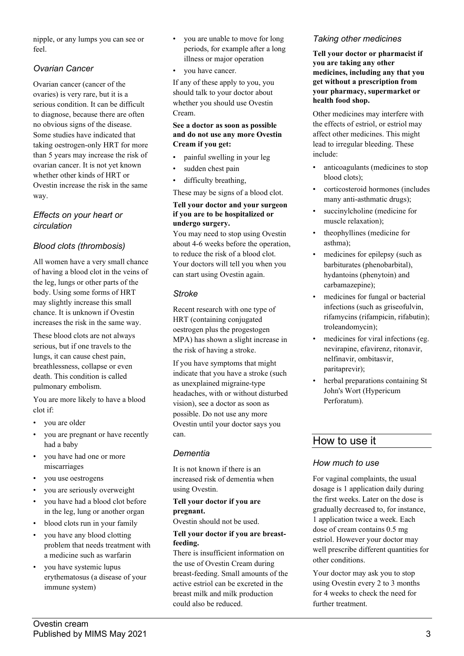nipple, or any lumps you can see or feel.

## *Ovarian Cancer*

Ovarian cancer (cancer of the ovaries) is very rare, but it is a serious condition. It can be difficult to diagnose, because there are often no obvious signs of the disease. Some studies have indicated that taking oestrogen-only HRT for more than 5 years may increase the risk of ovarian cancer. It is not yet known whether other kinds of HRT or Ovestin increase the risk in the same way.

## *Effects on your heart or circulation*

## *Blood clots (thrombosis)*

All women have a very small chance of having a blood clot in the veins of the leg, lungs or other parts of the body. Using some forms of HRT may slightly increase this small chance. It is unknown if Ovestin increases the risk in the same way.

These blood clots are not always serious, but if one travels to the lungs, it can cause chest pain, breathlessness, collapse or even death. This condition is called pulmonary embolism.

You are more likely to have a blood clot if:

- you are older
- you are pregnant or have recently had a baby
- you have had one or more miscarriages
- you use oestrogens
- you are seriously overweight
- you have had a blood clot before in the leg, lung or another organ
- blood clots run in your family
- you have any blood clotting problem that needs treatment with a medicine such as warfarin
- you have systemic lupus erythematosus (a disease of your immune system)
- you are unable to move for long periods, for example after a long illness or major operation
- vou have cancer.

If any of these apply to you, you should talk to your doctor about whether you should use Ovestin Cream.

#### **See a doctor as soon as possible and do not use any more Ovestin Cream if you get:**

- painful swelling in your leg
- sudden chest pain
- difficulty breathing,

These may be signs of a blood clot.

#### **Tell your doctor and your surgeon if you are to be hospitalized or undergo surgery.**

You may need to stop using Ovestin about 4-6 weeks before the operation, to reduce the risk of a blood clot. Your doctors will tell you when you can start using Ovestin again.

## *Stroke*

Recent research with one type of HRT (containing conjugated oestrogen plus the progestogen MPA) has shown a slight increase in the risk of having a stroke.

If you have symptoms that might indicate that you have a stroke (such as unexplained migraine-type headaches, with or without disturbed vision), see a doctor as soon as possible. Do not use any more Ovestin until your doctor says you can.

#### *Dementia*

It is not known if there is an increased risk of dementia when using Ovestin.

#### **Tell your doctor if you are pregnant.**

Ovestin should not be used.

#### **Tell your doctor if you are breastfeeding.**

There is insufficient information on the use of Ovestin Cream during breast-feeding. Small amounts of the active estriol can be excreted in the breast milk and milk production could also be reduced.

## *Taking other medicines*

**Tell your doctor or pharmacist if you are taking any other medicines, including any that you get without a prescription from your pharmacy, supermarket or health food shop.**

Other medicines may interfere with the effects of estriol, or estriol may affect other medicines. This might lead to irregular bleeding. These include:

- anticoagulants (medicines to stop blood clots);
- corticosteroid hormones (includes many anti-asthmatic drugs);
- succinvlcholine (medicine for muscle relaxation);
- theophyllines (medicine for asthma);
- medicines for epilepsy (such as barbiturates (phenobarbital), hydantoins (phenytoin) and carbamazepine);
- medicines for fungal or bacterial infections (such as griseofulvin, rifamycins (rifampicin, rifabutin); troleandomycin);
- medicines for viral infections (eg. nevirapine, efavirenz, ritonavir, nelfinavir, ombitasvir, paritaprevir);
- herbal preparations containing St John's Wort (Hypericum Perforatum).

# How to use it

## *How much to use*

For vaginal complaints, the usual dosage is 1 application daily during the first weeks. Later on the dose is gradually decreased to, for instance, 1 application twice a week. Each dose of cream contains 0.5 mg estriol. However your doctor may well prescribe different quantities for other conditions.

Your doctor may ask you to stop using Ovestin every 2 to 3 months for 4 weeks to check the need for further treatment.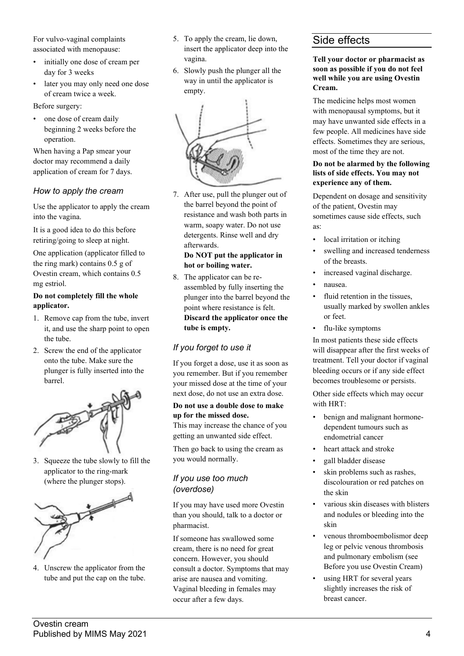For vulvo-vaginal complaints associated with menopause:

- initially one dose of cream per day for 3 weeks
- later you may only need one dose of cream twice a week.

Before surgery:

one dose of cream daily beginning 2 weeks before the operation.

When having a Pap smear your doctor may recommend a daily application of cream for 7 days.

## *How to apply the cream*

Use the applicator to apply the cream into the vagina.

It is a good idea to do this before retiring/going to sleep at night.

One application (applicator filled to the ring mark) contains 0.5 g of Ovestin cream, which contains 0.5 mg estriol.

#### **Do not completely fill the whole applicator.**

- 1. Remove cap from the tube, invert it, and use the sharp point to open the tube.
- 2. Screw the end of the applicator onto the tube. Make sure the plunger is fully inserted into the barrel.



3. Squeeze the tube slowly to fill the applicator to the ring-mark (where the plunger stops).



4. Unscrew the applicator from the tube and put the cap on the tube.

- 5. To apply the cream, lie down, insert the applicator deep into the vagina.
- 6. Slowly push the plunger all the way in until the applicator is empty.



7. After use, pull the plunger out of the barrel beyond the point of resistance and wash both parts in warm, soapy water. Do not use detergents. Rinse well and dry afterwards.

#### **Do NOT put the applicator in hot or boiling water.**

8. The applicator can be reassembled by fully inserting the plunger into the barrel beyond the point where resistance is felt. **Discard the applicator once the tube is empty.**

## *If you forget to use it*

If you forget a dose, use it as soon as you remember. But if you remember your missed dose at the time of your next dose, do not use an extra dose.

#### **Do not use a double dose to make up for the missed dose.**

This may increase the chance of you getting an unwanted side effect.

Then go back to using the cream as you would normally.

## *If you use too much (overdose)*

If you may have used more Ovestin than you should, talk to a doctor or pharmacist.

If someone has swallowed some cream, there is no need for great concern. However, you should consult a doctor. Symptoms that may arise are nausea and vomiting. Vaginal bleeding in females may occur after a few days.

# Side effects

#### **Tell your doctor or pharmacist as soon as possible if you do not feel well while you are using Ovestin Cream.**

The medicine helps most women with menopausal symptoms, but it may have unwanted side effects in a few people. All medicines have side effects. Sometimes they are serious, most of the time they are not.

#### **Do not be alarmed by the following lists of side effects. You may not experience any of them.**

Dependent on dosage and sensitivity of the patient, Ovestin may sometimes cause side effects, such as:

- local irritation or itching
- swelling and increased tenderness of the breasts.
- increased vaginal discharge.
- nausea.
- fluid retention in the tissues, usually marked by swollen ankles or feet.
- flu-like symptoms

In most patients these side effects will disappear after the first weeks of treatment. Tell your doctor if vaginal bleeding occurs or if any side effect becomes troublesome or persists.

Other side effects which may occur with HRT:

- benign and malignant hormonedependent tumours such as endometrial cancer
- heart attack and stroke
- gall bladder disease
- skin problems such as rashes, discolouration or red patches on the skin
- various skin diseases with blisters and nodules or bleeding into the skin
- venous thromboembolismor deep leg or pelvic venous thrombosis and pulmonary embolism (see Before you use Ovestin Cream)
- using HRT for several years slightly increases the risk of breast cancer.